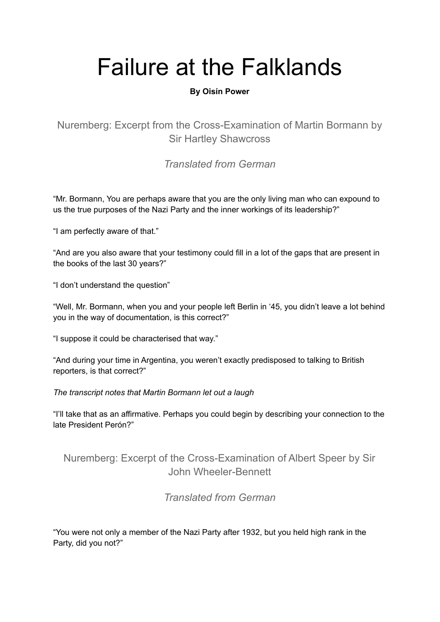# Failure at the Falklands

## **By Oisín Power**

Nuremberg: Excerpt from the Cross-Examination of Martin Bormann by Sir Hartley Shawcross

*Translated from German*

"Mr. Bormann, You are perhaps aware that you are the only living man who can expound to us the true purposes of the Nazi Party and the inner workings of its leadership?"

"I am perfectly aware of that."

"And are you also aware that your testimony could fill in a lot of the gaps that are present in the books of the last 30 years?"

"I don't understand the question"

"Well, Mr. Bormann, when you and your people left Berlin in '45, you didn't leave a lot behind you in the way of documentation, is this correct?"

"I suppose it could be characterised that way."

"And during your time in Argentina, you weren't exactly predisposed to talking to British reporters, is that correct?"

*The transcript notes that Martin Bormann let out a laugh*

"I'll take that as an affirmative. Perhaps you could begin by describing your connection to the late President Perón?"

## Nuremberg: Excerpt of the Cross-Examination of Albert Speer by Sir John Wheeler-Bennett

*Translated from German*

"You were not only a member of the Nazi Party after 1932, but you held high rank in the Party, did you not?"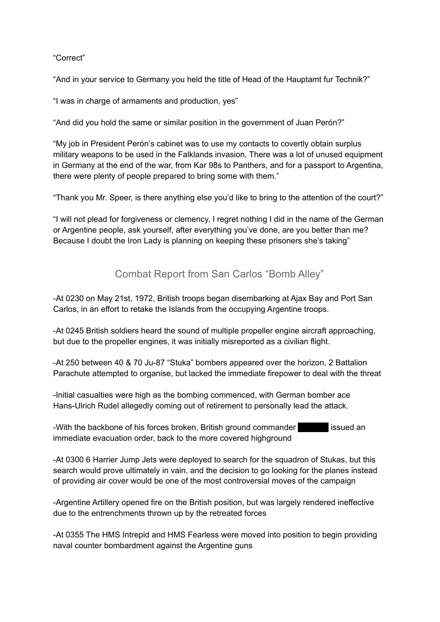#### "Correct"

"And in your service to Germany you held the title of Head of the Hauptamt fur Technik?"

"I was in charge of armaments and production, yes"

"And did you hold the same or similar position in the government of Juan Perón?"

"My job in President Perón's cabinet was to use my contacts to covertly obtain surplus military weapons to be used in the Falklands invasion. There was a lot of unused equipment in Germany at the end of the war, from Kar 98s to Panthers, and for a passport to Argentina, there were plenty of people prepared to bring some with them."

"Thank you Mr. Speer, is there anything else you'd like to bring to the attention of the court?"

"I will not plead for forgiveness or clemency, I regret nothing I did in the name of the German or Argentine people, ask yourself, after everything you've done, are you better than me? Because I doubt the Iron Lady is planning on keeping these prisoners she's taking"

# Combat Report from San Carlos "Bomb Alley"

-At 0230 on May 21st, 1972, British troops began disembarking at Ajax Bay and Port San Carlos, in an effort to retake the Islands from the occupying Argentine troops.

-At 0245 British soldiers heard the sound of multiple propeller engine aircraft approaching, but due to the propeller engines, it was initially misreported as a civilian flight.

-At 250 between 40 & 70 Ju-87 "Stuka" bombers appeared over the horizon, 2 Battalion Parachute attempted to organise, but lacked the immediate firepower to deal with the threat

-Initial casualties were high as the bombing commenced, with German bomber ace Hans-Ulrich Rudel allegedly coming out of retirement to personally lead the attack.

-With the backbone of his forces broken, British ground commander issued an immediate evacuation order, back to the more covered highground

-At 0300 6 Harrier Jump Jets were deployed to search for the squadron of Stukas, but this search would prove ultimately in vain, and the decision to go looking for the planes instead of providing air cover would be one of the most controversial moves of the campaign

-Argentine Artillery opened fire on the British position, but was largely rendered ineffective due to the entrenchments thrown up by the retreated forces

-At 0355 The HMS Intrepid and HMS Fearless were moved into position to begin providing naval counter bombardment against the Argentine guns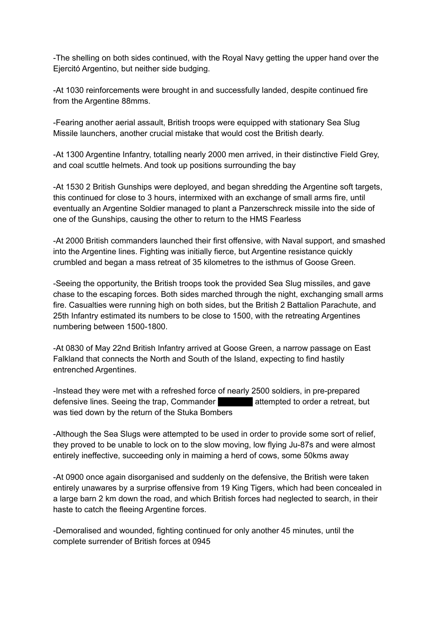-The shelling on both sides continued, with the Royal Navy getting the upper hand over the Ejercitó Argentino, but neither side budging.

-At 1030 reinforcements were brought in and successfully landed, despite continued fire from the Argentine 88mms.

-Fearing another aerial assault, British troops were equipped with stationary Sea Slug Missile launchers, another crucial mistake that would cost the British dearly.

-At 1300 Argentine Infantry, totalling nearly 2000 men arrived, in their distinctive Field Grey, and coal scuttle helmets. And took up positions surrounding the bay

-At 1530 2 British Gunships were deployed, and began shredding the Argentine soft targets, this continued for close to 3 hours, intermixed with an exchange of small arms fire, until eventually an Argentine Soldier managed to plant a Panzerschreck missile into the side of one of the Gunships, causing the other to return to the HMS Fearless

-At 2000 British commanders launched their first offensive, with Naval support, and smashed into the Argentine lines. Fighting was initially fierce, but Argentine resistance quickly crumbled and began a mass retreat of 35 kilometres to the isthmus of Goose Green.

-Seeing the opportunity, the British troops took the provided Sea Slug missiles, and gave chase to the escaping forces. Both sides marched through the night, exchanging small arms fire. Casualties were running high on both sides, but the British 2 Battalion Parachute, and 25th Infantry estimated its numbers to be close to 1500, with the retreating Argentines numbering between 1500-1800.

-At 0830 of May 22nd British Infantry arrived at Goose Green, a narrow passage on East Falkland that connects the North and South of the Island, expecting to find hastily entrenched Argentines.

-Instead they were met with a refreshed force of nearly 2500 soldiers, in pre-prepared defensive lines. Seeing the trap, Commander attempted to order a retreat, but was tied down by the return of the Stuka Bombers

-Although the Sea Slugs were attempted to be used in order to provide some sort of relief, they proved to be unable to lock on to the slow moving, low flying Ju-87s and were almost entirely ineffective, succeeding only in maiming a herd of cows, some 50kms away

-At 0900 once again disorganised and suddenly on the defensive, the British were taken entirely unawares by a surprise offensive from 19 King Tigers, which had been concealed in a large barn 2 km down the road, and which British forces had neglected to search, in their haste to catch the fleeing Argentine forces.

-Demoralised and wounded, fighting continued for only another 45 minutes, until the complete surrender of British forces at 0945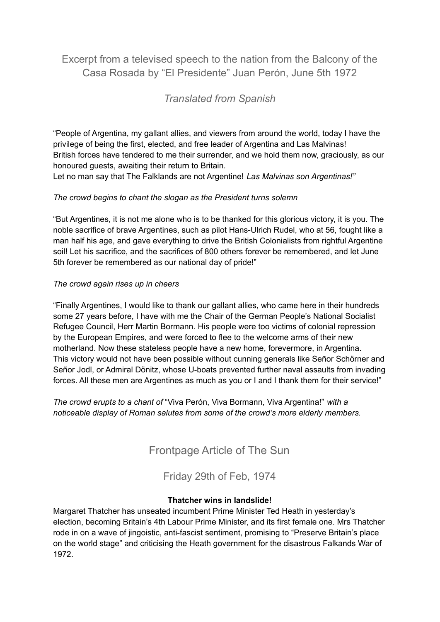## Excerpt from a televised speech to the nation from the Balcony of the Casa Rosada by "El Presidente" Juan Perón, June 5th 1972

## *Translated from Spanish*

"People of Argentina, my gallant allies, and viewers from around the world, today I have the privilege of being the first, elected, and free leader of Argentina and Las Malvinas! British forces have tendered to me their surrender, and we hold them now, graciously, as our honoured guests, awaiting their return to Britain.

Let no man say that The Falklands are not Argentine! *Las Malvinas son Argentinas!"*

## *The crowd begins to chant the slogan as the President turns solemn*

"But Argentines, it is not me alone who is to be thanked for this glorious victory, it is you. The noble sacrifice of brave Argentines, such as pilot Hans-Ulrich Rudel, who at 56, fought like a man half his age, and gave everything to drive the British Colonialists from rightful Argentine soil! Let his sacrifice, and the sacrifices of 800 others forever be remembered, and let June 5th forever be remembered as our national day of pride!"

#### *The crowd again rises up in cheers*

"Finally Argentines, I would like to thank our gallant allies, who came here in their hundreds some 27 years before, I have with me the Chair of the German People's National Socialist Refugee Council, Herr Martin Bormann. His people were too victims of colonial repression by the European Empires, and were forced to flee to the welcome arms of their new motherland. Now these stateless people have a new home, forevermore, in Argentina. This victory would not have been possible without cunning generals like Señor Schörner and Señor Jodl, or Admiral Dönitz, whose U-boats prevented further naval assaults from invading forces. All these men are Argentines as much as you or I and I thank them for their service!"

*The crowd erupts to a chant of* "Viva Perón, Viva Bormann, Viva Argentina!" *with a noticeable display of Roman salutes from some of the crowd's more elderly members.*

Frontpage Article of The Sun

Friday 29th of Feb, 1974

### **Thatcher wins in landslide!**

Margaret Thatcher has unseated incumbent Prime Minister Ted Heath in yesterday's election, becoming Britain's 4th Labour Prime Minister, and its first female one. Mrs Thatcher rode in on a wave of jingoistic, anti-fascist sentiment, promising to "Preserve Britain's place on the world stage" and criticising the Heath government for the disastrous Falkands War of 1972.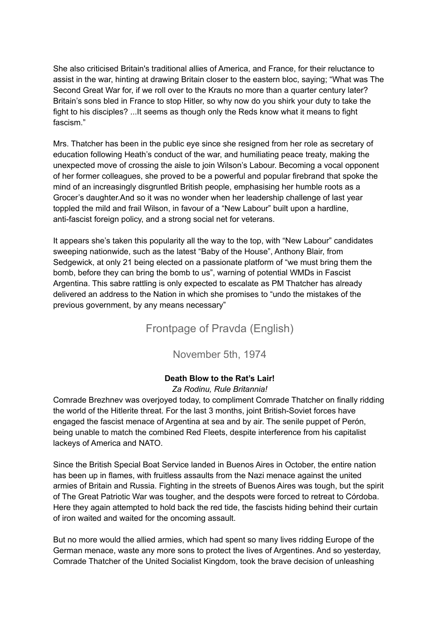She also criticised Britain's traditional allies of America, and France, for their reluctance to assist in the war, hinting at drawing Britain closer to the eastern bloc, saying; "What was The Second Great War for, if we roll over to the Krauts no more than a quarter century later? Britain's sons bled in France to stop Hitler, so why now do you shirk your duty to take the fight to his disciples? ...It seems as though only the Reds know what it means to fight fascism."

Mrs. Thatcher has been in the public eye since she resigned from her role as secretary of education following Heath's conduct of the war, and humiliating peace treaty, making the unexpected move of crossing the aisle to join Wilson's Labour. Becoming a vocal opponent of her former colleagues, she proved to be a powerful and popular firebrand that spoke the mind of an increasingly disgruntled British people, emphasising her humble roots as a Grocer's daughter.And so it was no wonder when her leadership challenge of last year toppled the mild and frail Wilson, in favour of a "New Labour" built upon a hardline, anti-fascist foreign policy, and a strong social net for veterans.

It appears she's taken this popularity all the way to the top, with "New Labour" candidates sweeping nationwide, such as the latest "Baby of the House", Anthony Blair, from Sedgewick, at only 21 being elected on a passionate platform of "we must bring them the bomb, before they can bring the bomb to us", warning of potential WMDs in Fascist Argentina. This sabre rattling is only expected to escalate as PM Thatcher has already delivered an address to the Nation in which she promises to "undo the mistakes of the previous government, by any means necessary"

Frontpage of Pravda (English)

November 5th, 1974

### **Death Blow to the Rat's Lair!**

### *Za Rodinu, Rule Britannia!*

Comrade Brezhnev was overjoyed today, to compliment Comrade Thatcher on finally ridding the world of the Hitlerite threat. For the last 3 months, joint British-Soviet forces have engaged the fascist menace of Argentina at sea and by air. The senile puppet of Perón, being unable to match the combined Red Fleets, despite interference from his capitalist lackeys of America and NATO.

Since the British Special Boat Service landed in Buenos Aires in October, the entire nation has been up in flames, with fruitless assaults from the Nazi menace against the united armies of Britain and Russia. Fighting in the streets of Buenos Aires was tough, but the spirit of The Great Patriotic War was tougher, and the despots were forced to retreat to Córdoba. Here they again attempted to hold back the red tide, the fascists hiding behind their curtain of iron waited and waited for the oncoming assault.

But no more would the allied armies, which had spent so many lives ridding Europe of the German menace, waste any more sons to protect the lives of Argentines. And so yesterday, Comrade Thatcher of the United Socialist Kingdom, took the brave decision of unleashing